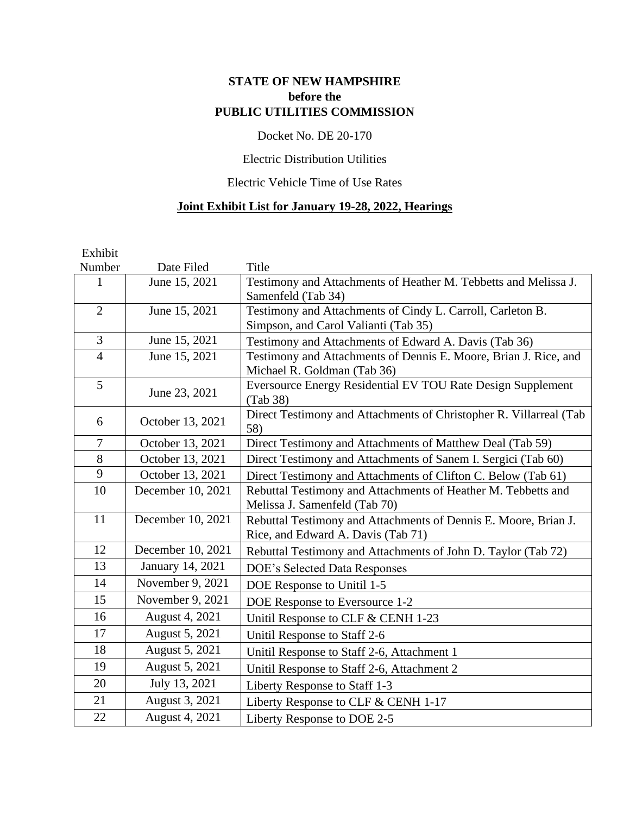# **STATE OF NEW HAMPSHIRE before the PUBLIC UTILITIES COMMISSION**

## Docket No. DE 20-170

## Electric Distribution Utilities

## Electric Vehicle Time of Use Rates

## **Joint Exhibit List for January 19-28, 2022, Hearings**

| Exhibit        |                   |                                                                    |
|----------------|-------------------|--------------------------------------------------------------------|
| Number         | Date Filed        | Title                                                              |
| 1              | June 15, 2021     | Testimony and Attachments of Heather M. Tebbetts and Melissa J.    |
|                |                   | Samenfeld (Tab 34)                                                 |
| $\overline{2}$ | June 15, 2021     | Testimony and Attachments of Cindy L. Carroll, Carleton B.         |
|                |                   | Simpson, and Carol Valianti (Tab 35)                               |
| $\overline{3}$ | June 15, 2021     | Testimony and Attachments of Edward A. Davis (Tab 36)              |
| $\overline{4}$ | June 15, 2021     | Testimony and Attachments of Dennis E. Moore, Brian J. Rice, and   |
|                |                   | Michael R. Goldman (Tab 36)                                        |
| 5              | June 23, 2021     | Eversource Energy Residential EV TOU Rate Design Supplement        |
|                |                   | (Tab 38)                                                           |
| 6              | October 13, 2021  | Direct Testimony and Attachments of Christopher R. Villarreal (Tab |
|                |                   | 58)                                                                |
| $\overline{7}$ | October 13, 2021  | Direct Testimony and Attachments of Matthew Deal (Tab 59)          |
| 8              | October 13, 2021  | Direct Testimony and Attachments of Sanem I. Sergici (Tab 60)      |
| 9              | October 13, 2021  | Direct Testimony and Attachments of Clifton C. Below (Tab 61)      |
| 10             | December 10, 2021 | Rebuttal Testimony and Attachments of Heather M. Tebbetts and      |
|                |                   | Melissa J. Samenfeld (Tab 70)                                      |
| 11             | December 10, 2021 | Rebuttal Testimony and Attachments of Dennis E. Moore, Brian J.    |
|                |                   | Rice, and Edward A. Davis (Tab 71)                                 |
| 12             | December 10, 2021 | Rebuttal Testimony and Attachments of John D. Taylor (Tab 72)      |
| 13             | January 14, 2021  | <b>DOE's Selected Data Responses</b>                               |
| 14             | November 9, 2021  | DOE Response to Unitil 1-5                                         |
| 15             | November 9, 2021  | DOE Response to Eversource 1-2                                     |
| 16             | August 4, 2021    | Unitil Response to CLF & CENH 1-23                                 |
| 17             | August 5, 2021    | Unitil Response to Staff 2-6                                       |
| 18             | August 5, 2021    | Unitil Response to Staff 2-6, Attachment 1                         |
| 19             | August 5, 2021    | Unitil Response to Staff 2-6, Attachment 2                         |
| 20             | July 13, 2021     | Liberty Response to Staff 1-3                                      |
| 21             | August 3, 2021    | Liberty Response to CLF & CENH 1-17                                |
| 22             | August 4, 2021    | Liberty Response to DOE 2-5                                        |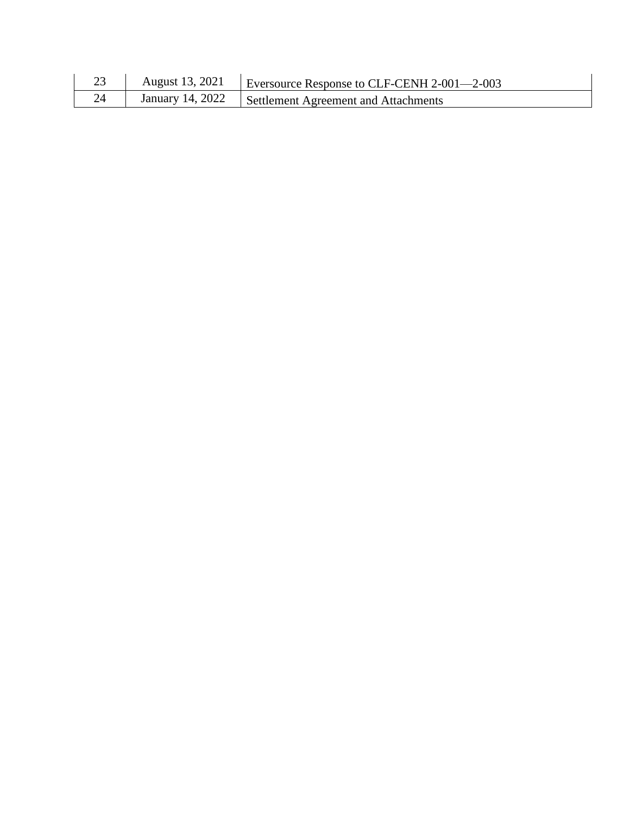| د∠ | August 13, 2021 | Eversource Response to CLF-CENH 2-001- $-2$ -003      |
|----|-----------------|-------------------------------------------------------|
|    |                 | January 14, 2022 Settlement Agreement and Attachments |

 $\overline{\phantom{a}}$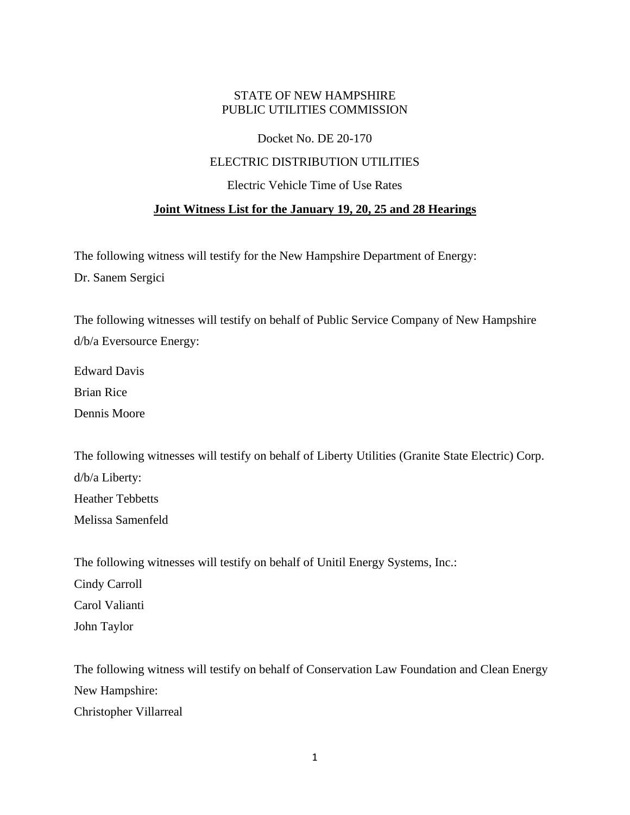## STATE OF NEW HAMPSHIRE PUBLIC UTILITIES COMMISSION

### Docket No. DE 20-170

### ELECTRIC DISTRIBUTION UTILITIES

#### Electric Vehicle Time of Use Rates

### **Joint Witness List for the January 19, 20, 25 and 28 Hearings**

The following witness will testify for the New Hampshire Department of Energy: Dr. Sanem Sergici

The following witnesses will testify on behalf of Public Service Company of New Hampshire d/b/a Eversource Energy:

Edward Davis

Brian Rice

Dennis Moore

The following witnesses will testify on behalf of Liberty Utilities (Granite State Electric) Corp. d/b/a Liberty: Heather Tebbetts Melissa Samenfeld

The following witnesses will testify on behalf of Unitil Energy Systems, Inc.:

Cindy Carroll

Carol Valianti

John Taylor

The following witness will testify on behalf of Conservation Law Foundation and Clean Energy New Hampshire: Christopher Villarreal